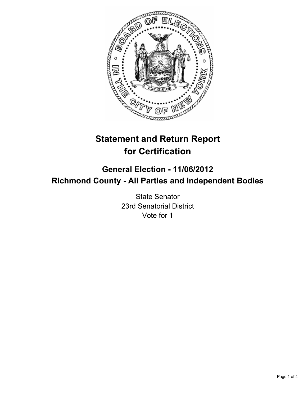

# **Statement and Return Report for Certification**

## **General Election - 11/06/2012 Richmond County - All Parties and Independent Bodies**

State Senator 23rd Senatorial District Vote for 1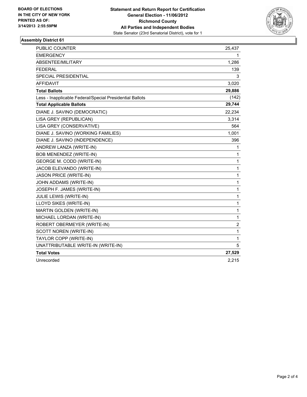

### **Assembly District 61**

| PUBLIC COUNTER                                           | 25,437       |
|----------------------------------------------------------|--------------|
| <b>EMERGENCY</b>                                         | 1            |
| <b>ABSENTEE/MILITARY</b>                                 | 1,286        |
| <b>FEDERAL</b>                                           | 139          |
| SPECIAL PRESIDENTIAL                                     | 3            |
| <b>AFFIDAVIT</b>                                         | 3,020        |
| <b>Total Ballots</b>                                     | 29,886       |
| Less - Inapplicable Federal/Special Presidential Ballots | (142)        |
| <b>Total Applicable Ballots</b>                          | 29,744       |
| DIANE J. SAVINO (DEMOCRATIC)                             | 22,234       |
| LISA GREY (REPUBLICAN)                                   | 3,314        |
| LISA GREY (CONSERVATIVE)                                 | 564          |
| DIANE J. SAVINO (WORKING FAMILIES)                       | 1,001        |
| DIANE J. SAVINO (INDEPENDENCE)                           | 396          |
| ANDREW LANZA (WRITE-IN)                                  | 1            |
| <b>BOB MENENDEZ (WRITE-IN)</b>                           | 1            |
| <b>GEORGE M. CODD (WRITE-IN)</b>                         | 1            |
| JACOB ELEVANDO (WRITE-IN)                                | 1            |
| <b>JASON PRICE (WRITE-IN)</b>                            | 1            |
| JOHN ADDAMS (WRITE-IN)                                   | 1            |
| JOSEPH F. JAMES (WRITE-IN)                               | 1            |
| <b>JULIE LEWIS (WRITE-IN)</b>                            | 1            |
| LLOYD SIKES (WRITE-IN)                                   | 1            |
| MARTIN GOLDEN (WRITE-IN)                                 | 1            |
| MICHAEL LORDAN (WRITE-IN)                                | 1            |
| ROBERT OBERMEYER (WRITE-IN)                              | 2            |
| SCOTT NOREN (WRITE-IN)                                   | 1            |
| TAYLOR COPP (WRITE-IN)                                   | $\mathbf{1}$ |
| UNATTRIBUTABLE WRITE-IN (WRITE-IN)                       | 5            |
| <b>Total Votes</b>                                       | 27,529       |
| Unrecorded                                               | 2,215        |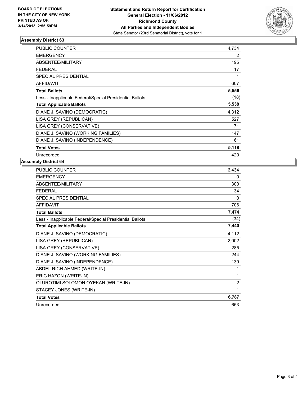

## **Assembly District 63**

| <b>PUBLIC COUNTER</b>                                    | 4,734 |
|----------------------------------------------------------|-------|
| <b>EMERGENCY</b>                                         | 2     |
| <b>ABSENTEE/MILITARY</b>                                 | 195   |
| <b>FEDERAL</b>                                           | 17    |
| SPECIAL PRESIDENTIAL                                     | 1     |
| <b>AFFIDAVIT</b>                                         | 607   |
| <b>Total Ballots</b>                                     | 5,556 |
| Less - Inapplicable Federal/Special Presidential Ballots | (18)  |
| <b>Total Applicable Ballots</b>                          | 5,538 |
| DIANE J. SAVINO (DEMOCRATIC)                             | 4,312 |
| LISA GREY (REPUBLICAN)                                   | 527   |
| LISA GREY (CONSERVATIVE)                                 | 71    |
| DIANE J. SAVINO (WORKING FAMILIES)                       | 147   |
| DIANE J. SAVINO (INDEPENDENCE)                           | 61    |
| <b>Total Votes</b>                                       | 5,118 |
| Unrecorded                                               | 420   |

#### **Assembly District 64**

| <b>PUBLIC COUNTER</b>                                    | 6,434          |
|----------------------------------------------------------|----------------|
| <b>EMERGENCY</b>                                         | 0              |
| ABSENTEE/MILITARY                                        | 300            |
| <b>FEDERAL</b>                                           | 34             |
| <b>SPECIAL PRESIDENTIAL</b>                              | 0              |
| <b>AFFIDAVIT</b>                                         | 706            |
| <b>Total Ballots</b>                                     | 7,474          |
| Less - Inapplicable Federal/Special Presidential Ballots | (34)           |
| <b>Total Applicable Ballots</b>                          | 7,440          |
| DIANE J. SAVINO (DEMOCRATIC)                             | 4,112          |
| LISA GREY (REPUBLICAN)                                   | 2,002          |
| LISA GREY (CONSERVATIVE)                                 | 285            |
| DIANE J. SAVINO (WORKING FAMILIES)                       | 244            |
| DIANE J. SAVINO (INDEPENDENCE)                           | 139            |
| ABDEL RICH AHMED (WRITE-IN)                              | 1              |
| ERIC HAZON (WRITE-IN)                                    | 1              |
| OLUROTIMI SOLOMON OYEKAN (WRITE-IN)                      | $\overline{2}$ |
| STACEY JONES (WRITE-IN)                                  | 1              |
| <b>Total Votes</b>                                       | 6,787          |
| Unrecorded                                               | 653            |
|                                                          |                |